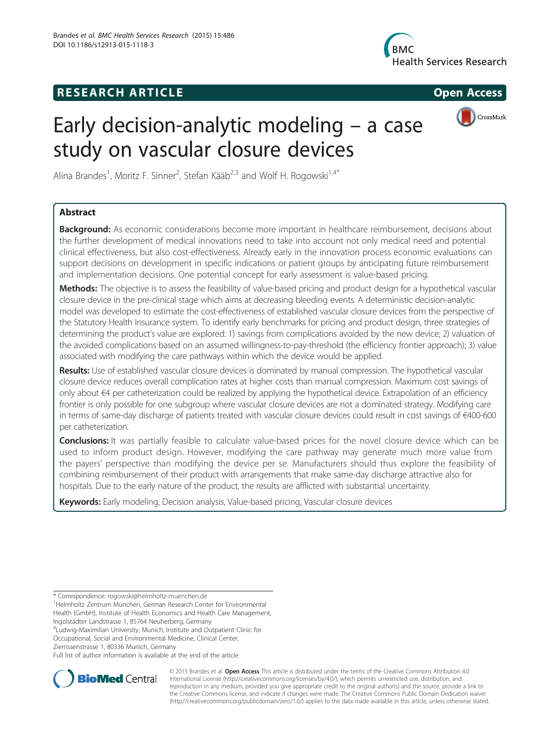## **RESEARCH ARTICLE Example 2014 The SEAR CH ACCESS**



# Early decision-analytic modeling – a case study on vascular closure devices



Alina Brandes<sup>1</sup>, Moritz F. Sinner<sup>2</sup>, Stefan Kääb<sup>2,3</sup> and Wolf H. Rogowski<sup>1,4\*</sup>

## Abstract

**Background:** As economic considerations become more important in healthcare reimbursement, decisions about the further development of medical innovations need to take into account not only medical need and potential clinical effectiveness, but also cost-effectiveness. Already early in the innovation process economic evaluations can support decisions on development in specific indications or patient groups by anticipating future reimbursement and implementation decisions. One potential concept for early assessment is value-based pricing.

Methods: The objective is to assess the feasibility of value-based pricing and product design for a hypothetical vascular closure device in the pre-clinical stage which aims at decreasing bleeding events. A deterministic decision-analytic model was developed to estimate the cost-effectiveness of established vascular closure devices from the perspective of the Statutory Health Insurance system. To identify early benchmarks for pricing and product design, three strategies of determining the product's value are explored: 1) savings from complications avoided by the new device; 2) valuation of the avoided complications based on an assumed willingness-to-pay-threshold (the efficiency frontier approach); 3) value associated with modifying the care pathways within which the device would be applied.

Results: Use of established vascular closure devices is dominated by manual compression. The hypothetical vascular closure device reduces overall complication rates at higher costs than manual compression. Maximum cost savings of only about €4 per catheterization could be realized by applying the hypothetical device. Extrapolation of an efficiency frontier is only possible for one subgroup where vascular closure devices are not a dominated strategy. Modifying care in terms of same-day discharge of patients treated with vascular closure devices could result in cost savings of €400-600 per catheterization.

**Conclusions:** It was partially feasible to calculate value-based prices for the novel closure device which can be used to inform product design. However, modifying the care pathway may generate much more value from the payers' perspective than modifying the device per se. Manufacturers should thus explore the feasibility of combining reimbursement of their product with arrangements that make same-day discharge attractive also for hospitals. Due to the early nature of the product, the results are afflicted with substantial uncertainty.

Keywords: Early modeling, Decision analysis, Value-based pricing, Vascular closure devices

<sup>1</sup>Helmholtz Zentrum München, German Research Center for Environmental Health (GmbH), Institute of Health Economics and Health Care Management,

Ingolstädter Landstrasse 1, 85764 Neuherberg, Germany 4 Ludwig-Maximilian University, Munich, Institute and Outpatient Clinic for

Occupational, Social and Environmental Medicine, Clinical Center,

Ziemssenstrasse 1, 80336 Munich, Germany

Full list of author information is available at the end of the article



© 2015 Brandes et al. Open Access This article is distributed under the terms of the Creative Commons Attribution 4.0 International License [\(http://creativecommons.org/licenses/by/4.0/](http://creativecommons.org/licenses/by/4.0/)), which permits unrestricted use, distribution, and reproduction in any medium, provided you give appropriate credit to the original author(s) and the source, provide a link to the Creative Commons license, and indicate if changes were made. The Creative Commons Public Domain Dedication waiver [\(http://creativecommons.org/publicdomain/zero/1.0/](http://creativecommons.org/publicdomain/zero/1.0/)) applies to the data made available in this article, unless otherwise stated.

<sup>\*</sup> Correspondence: [rogowski@helmholtz-muenchen.de](mailto:rogowski@helmholtz-muenchen.de) <sup>1</sup>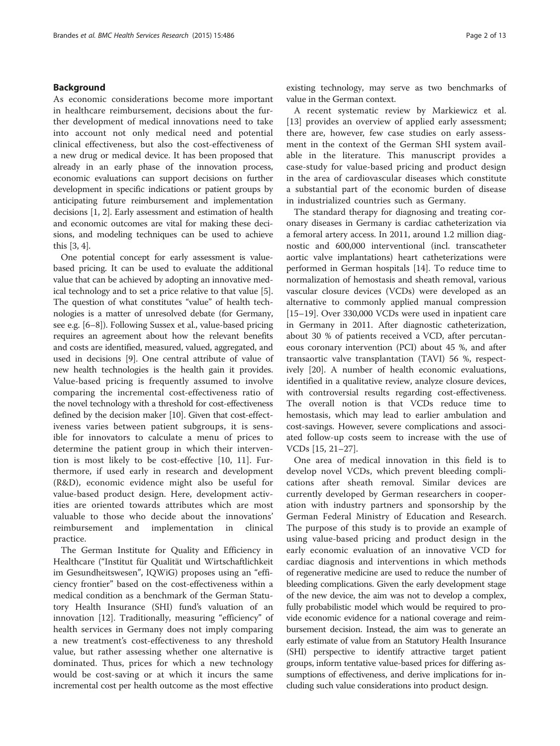#### Background

As economic considerations become more important in healthcare reimbursement, decisions about the further development of medical innovations need to take into account not only medical need and potential clinical effectiveness, but also the cost-effectiveness of a new drug or medical device. It has been proposed that already in an early phase of the innovation process, economic evaluations can support decisions on further development in specific indications or patient groups by anticipating future reimbursement and implementation decisions [\[1](#page-10-0), [2\]](#page-10-0). Early assessment and estimation of health and economic outcomes are vital for making these decisions, and modeling techniques can be used to achieve this [[3, 4](#page-10-0)].

One potential concept for early assessment is valuebased pricing. It can be used to evaluate the additional value that can be achieved by adopting an innovative medical technology and to set a price relative to that value [[5](#page-10-0)]. The question of what constitutes "value" of health technologies is a matter of unresolved debate (for Germany, see e.g. [[6](#page-10-0)–[8](#page-11-0)]). Following Sussex et al., value-based pricing requires an agreement about how the relevant benefits and costs are identified, measured, valued, aggregated, and used in decisions [[9](#page-11-0)]. One central attribute of value of new health technologies is the health gain it provides. Value-based pricing is frequently assumed to involve comparing the incremental cost-effectiveness ratio of the novel technology with a threshold for cost-effectiveness defined by the decision maker [[10](#page-11-0)]. Given that cost-effectiveness varies between patient subgroups, it is sensible for innovators to calculate a menu of prices to determine the patient group in which their intervention is most likely to be cost-effective [[10, 11](#page-11-0)]. Furthermore, if used early in research and development (R&D), economic evidence might also be useful for value-based product design. Here, development activities are oriented towards attributes which are most valuable to those who decide about the innovations' reimbursement and implementation in clinical practice.

The German Institute for Quality and Efficiency in Healthcare ("Institut für Qualität und Wirtschaftlichkeit im Gesundheitswesen", IQWiG) proposes using an "efficiency frontier" based on the cost-effectiveness within a medical condition as a benchmark of the German Statutory Health Insurance (SHI) fund's valuation of an innovation [[12\]](#page-11-0). Traditionally, measuring "efficiency" of health services in Germany does not imply comparing a new treatment's cost-effectiveness to any threshold value, but rather assessing whether one alternative is dominated. Thus, prices for which a new technology would be cost-saving or at which it incurs the same incremental cost per health outcome as the most effective existing technology, may serve as two benchmarks of value in the German context.

A recent systematic review by Markiewicz et al. [[13\]](#page-11-0) provides an overview of applied early assessment; there are, however, few case studies on early assessment in the context of the German SHI system available in the literature. This manuscript provides a case-study for value-based pricing and product design in the area of cardiovascular diseases which constitute a substantial part of the economic burden of disease in industrialized countries such as Germany.

The standard therapy for diagnosing and treating coronary diseases in Germany is cardiac catheterization via a femoral artery access. In 2011, around 1.2 million diagnostic and 600,000 interventional (incl. transcatheter aortic valve implantations) heart catheterizations were performed in German hospitals [[14\]](#page-11-0). To reduce time to normalization of hemostasis and sheath removal, various vascular closure devices (VCDs) were developed as an alternative to commonly applied manual compression [[15](#page-11-0)–[19](#page-11-0)]. Over 330,000 VCDs were used in inpatient care in Germany in 2011. After diagnostic catheterization, about 30 % of patients received a VCD, after percutaneous coronary intervention (PCI) about 45 %, and after transaortic valve transplantation (TAVI) 56 %, respectively [[20](#page-11-0)]. A number of health economic evaluations, identified in a qualitative review, analyze closure devices, with controversial results regarding cost-effectiveness. The overall notion is that VCDs reduce time to hemostasis, which may lead to earlier ambulation and cost-savings. However, severe complications and associated follow-up costs seem to increase with the use of VCDs [\[15, 21](#page-11-0)–[27\]](#page-11-0).

One area of medical innovation in this field is to develop novel VCDs, which prevent bleeding complications after sheath removal. Similar devices are currently developed by German researchers in cooperation with industry partners and sponsorship by the German Federal Ministry of Education and Research. The purpose of this study is to provide an example of using value-based pricing and product design in the early economic evaluation of an innovative VCD for cardiac diagnosis and interventions in which methods of regenerative medicine are used to reduce the number of bleeding complications. Given the early development stage of the new device, the aim was not to develop a complex, fully probabilistic model which would be required to provide economic evidence for a national coverage and reimbursement decision. Instead, the aim was to generate an early estimate of value from an Statutory Health Insurance (SHI) perspective to identify attractive target patient groups, inform tentative value-based prices for differing assumptions of effectiveness, and derive implications for including such value considerations into product design.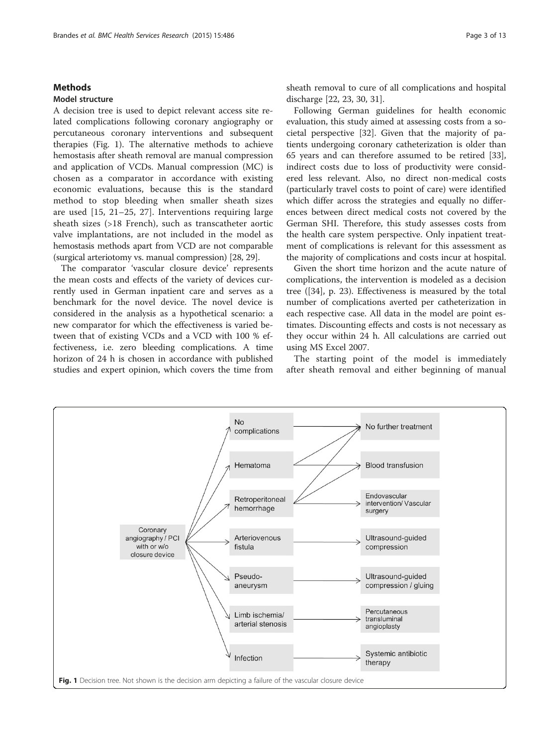## **Methods**

## Model structure

A decision tree is used to depict relevant access site related complications following coronary angiography or percutaneous coronary interventions and subsequent therapies (Fig. 1). The alternative methods to achieve hemostasis after sheath removal are manual compression and application of VCDs. Manual compression (MC) is chosen as a comparator in accordance with existing economic evaluations, because this is the standard method to stop bleeding when smaller sheath sizes are used [[15, 21](#page-11-0)–[25](#page-11-0), [27\]](#page-11-0). Interventions requiring large sheath sizes (>18 French), such as transcatheter aortic valve implantations, are not included in the model as hemostasis methods apart from VCD are not comparable (surgical arteriotomy vs. manual compression) [\[28, 29](#page-11-0)].

The comparator 'vascular closure device' represents the mean costs and effects of the variety of devices currently used in German inpatient care and serves as a benchmark for the novel device. The novel device is considered in the analysis as a hypothetical scenario: a new comparator for which the effectiveness is varied between that of existing VCDs and a VCD with 100 % effectiveness, i.e. zero bleeding complications. A time horizon of 24 h is chosen in accordance with published studies and expert opinion, which covers the time from sheath removal to cure of all complications and hospital discharge [\[22](#page-11-0), [23, 30, 31\]](#page-11-0).

Following German guidelines for health economic evaluation, this study aimed at assessing costs from a societal perspective [\[32](#page-11-0)]. Given that the majority of patients undergoing coronary catheterization is older than 65 years and can therefore assumed to be retired [\[33](#page-11-0)], indirect costs due to loss of productivity were considered less relevant. Also, no direct non-medical costs (particularly travel costs to point of care) were identified which differ across the strategies and equally no differences between direct medical costs not covered by the German SHI. Therefore, this study assesses costs from the health care system perspective. Only inpatient treatment of complications is relevant for this assessment as the majority of complications and costs incur at hospital.

Given the short time horizon and the acute nature of complications, the intervention is modeled as a decision tree ([[34](#page-11-0)], p. 23). Effectiveness is measured by the total number of complications averted per catheterization in each respective case. All data in the model are point estimates. Discounting effects and costs is not necessary as they occur within 24 h. All calculations are carried out using MS Excel 2007.

The starting point of the model is immediately after sheath removal and either beginning of manual

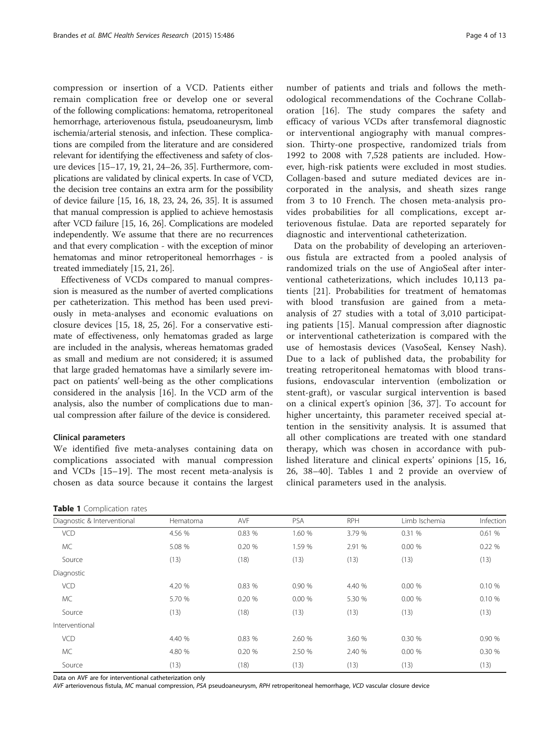compression or insertion of a VCD. Patients either remain complication free or develop one or several of the following complications: hematoma, retroperitoneal hemorrhage, arteriovenous fistula, pseudoaneurysm, limb ischemia/arterial stenosis, and infection. These complications are compiled from the literature and are considered relevant for identifying the effectiveness and safety of closure devices [\[15](#page-11-0)–[17](#page-11-0), [19, 21](#page-11-0), [24](#page-11-0)–[26](#page-11-0), [35\]](#page-11-0). Furthermore, complications are validated by clinical experts. In case of VCD, the decision tree contains an extra arm for the possibility of device failure [[15, 16, 18, 23, 24](#page-11-0), [26](#page-11-0), [35](#page-11-0)]. It is assumed that manual compression is applied to achieve hemostasis after VCD failure [\[15](#page-11-0), [16, 26\]](#page-11-0). Complications are modeled independently. We assume that there are no recurrences and that every complication - with the exception of minor hematomas and minor retroperitoneal hemorrhages - is treated immediately [[15](#page-11-0), [21, 26](#page-11-0)].

Effectiveness of VCDs compared to manual compression is measured as the number of averted complications per catheterization. This method has been used previously in meta-analyses and economic evaluations on closure devices [\[15, 18, 25, 26](#page-11-0)]. For a conservative estimate of effectiveness, only hematomas graded as large are included in the analysis, whereas hematomas graded as small and medium are not considered; it is assumed that large graded hematomas have a similarly severe impact on patients' well-being as the other complications considered in the analysis [\[16](#page-11-0)]. In the VCD arm of the analysis, also the number of complications due to manual compression after failure of the device is considered.

## Clinical parameters

We identified five meta-analyses containing data on complications associated with manual compression and VCDs [\[15](#page-11-0)–[19](#page-11-0)]. The most recent meta-analysis is chosen as data source because it contains the largest

| <b>Table 1</b> Complication rates |  |  |  |
|-----------------------------------|--|--|--|
|-----------------------------------|--|--|--|

number of patients and trials and follows the methodological recommendations of the Cochrane Collaboration [[16\]](#page-11-0). The study compares the safety and efficacy of various VCDs after transfemoral diagnostic or interventional angiography with manual compression. Thirty-one prospective, randomized trials from 1992 to 2008 with 7,528 patients are included. However, high-risk patients were excluded in most studies. Collagen-based and suture mediated devices are incorporated in the analysis, and sheath sizes range from 3 to 10 French. The chosen meta-analysis provides probabilities for all complications, except arteriovenous fistulae. Data are reported separately for diagnostic and interventional catheterization.

Data on the probability of developing an arteriovenous fistula are extracted from a pooled analysis of randomized trials on the use of AngioSeal after interventional catheterizations, which includes 10,113 patients [\[21](#page-11-0)]. Probabilities for treatment of hematomas with blood transfusion are gained from a metaanalysis of 27 studies with a total of 3,010 participating patients [[15\]](#page-11-0). Manual compression after diagnostic or interventional catheterization is compared with the use of hemostasis devices (VasoSeal, Kensey Nash). Due to a lack of published data, the probability for treating retroperitoneal hematomas with blood transfusions, endovascular intervention (embolization or stent-graft), or vascular surgical intervention is based on a clinical expert's opinion [\[36](#page-11-0), [37\]](#page-11-0). To account for higher uncertainty, this parameter received special attention in the sensitivity analysis. It is assumed that all other complications are treated with one standard therapy, which was chosen in accordance with published literature and clinical experts' opinions [[15, 16](#page-11-0), [26, 38](#page-11-0)–[40\]](#page-11-0). Tables 1 and [2](#page-4-0) provide an overview of clinical parameters used in the analysis.

| Diagnostic & Interventional | Hematoma | AVF    | PSA    | <b>RPH</b> | Limb Ischemia | Infection |
|-----------------------------|----------|--------|--------|------------|---------------|-----------|
| VCD                         | 4.56 %   | 0.83 % | 1.60 % | 3.79 %     | 0.31 %        | 0.61 %    |
| <b>MC</b>                   | 5.08 %   | 0.20%  | 1.59 % | 2.91 %     | 0.00%         | 0.22 %    |
| Source                      | (13)     | (18)   | (13)   | (13)       | (13)          | (13)      |
| Diagnostic                  |          |        |        |            |               |           |
| VCD                         | 4.20 %   | 0.83 % | 0.90 % | 4.40 %     | 0.00%         | 0.10 %    |
| МC                          | 5.70 %   | 0.20%  | 0.00%  | 5.30 %     | 0.00%         | 0.10 %    |
| Source                      | (13)     | (18)   | (13)   | (13)       | (13)          | (13)      |
| Interventional              |          |        |        |            |               |           |
| <b>VCD</b>                  | 4.40 %   | 0.83 % | 2.60 % | 3.60 %     | 0.30 %        | 0.90 %    |
| <b>MC</b>                   | 4.80 %   | 0.20%  | 2.50 % | 2.40 %     | 0.00%         | 0.30 %    |
| Source                      | (13)     | (18)   | (13)   | (13)       | (13)          | (13)      |

Data on AVF are for interventional catheterization only

AVF arteriovenous fistula, MC manual compression, PSA pseudoaneurysm, RPH retroperitoneal hemorrhage, VCD vascular closure device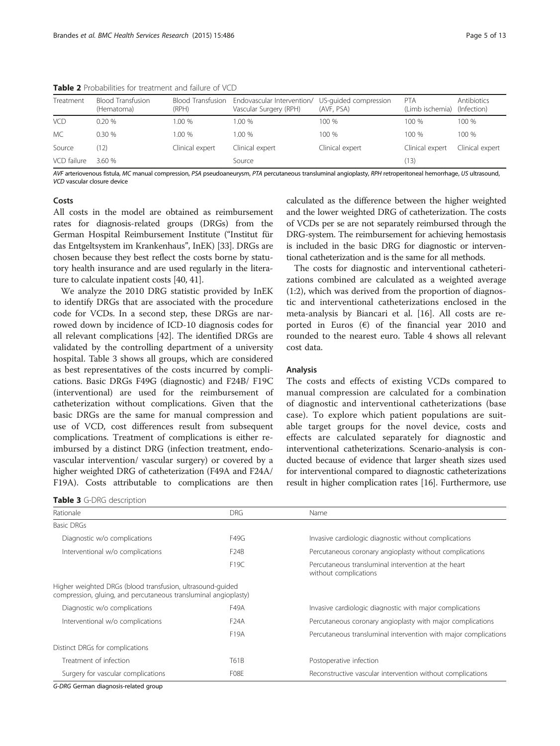| Treatment   | <b>Blood Transfusion</b><br>(Hematoma) | <b>Blood Transfusion</b><br>(RPH) | Endovascular Intervention/<br>Vascular Surgery (RPH) | US-quided compression<br>(AVF, PSA) | <b>PTA</b><br>(Limb ischemia) | Antibiotics<br>(Infection) |
|-------------|----------------------------------------|-----------------------------------|------------------------------------------------------|-------------------------------------|-------------------------------|----------------------------|
| <b>VCD</b>  | 0.20%                                  | 1.00 %                            | 1.00 %                                               | 100 %                               | 100 %                         | 100 %                      |
| MC.         | 0.30%                                  | 1.00 %                            | 1.00 %                                               | 100 %                               | 100 %                         | 100 %                      |
| Source      | (12)                                   | Clinical expert                   | Clinical expert                                      | Clinical expert                     | Clinical expert               | Clinical expert            |
| VCD failure | 3.60 %                                 |                                   | Source                                               |                                     | (13)                          |                            |

<span id="page-4-0"></span>Table 2 Probabilities for treatment and failure of VCD

AVF arteriovenous fistula, MC manual compression, PSA pseudoaneurysm, PTA percutaneous transluminal angioplasty, RPH retroperitoneal hemorrhage, US ultrasound, VCD vascular closure device

## Costs

All costs in the model are obtained as reimbursement rates for diagnosis-related groups (DRGs) from the German Hospital Reimbursement Institute ("Institut für das Entgeltsystem im Krankenhaus", InEK) [\[33\]](#page-11-0). DRGs are chosen because they best reflect the costs borne by statutory health insurance and are used regularly in the literature to calculate inpatient costs [\[40](#page-11-0), [41](#page-11-0)].

We analyze the 2010 DRG statistic provided by InEK to identify DRGs that are associated with the procedure code for VCDs. In a second step, these DRGs are narrowed down by incidence of ICD-10 diagnosis codes for all relevant complications [[42\]](#page-11-0). The identified DRGs are validated by the controlling department of a university hospital. Table 3 shows all groups, which are considered as best representatives of the costs incurred by complications. Basic DRGs F49G (diagnostic) and F24B/ F19C (interventional) are used for the reimbursement of catheterization without complications. Given that the basic DRGs are the same for manual compression and use of VCD, cost differences result from subsequent complications. Treatment of complications is either reimbursed by a distinct DRG (infection treatment, endovascular intervention/ vascular surgery) or covered by a higher weighted DRG of catheterization (F49A and F24A/ F19A). Costs attributable to complications are then

| Table 3 G-DRG description |  |  |  |  |
|---------------------------|--|--|--|--|
|---------------------------|--|--|--|--|

calculated as the difference between the higher weighted and the lower weighted DRG of catheterization. The costs of VCDs per se are not separately reimbursed through the DRG-system. The reimbursement for achieving hemostasis is included in the basic DRG for diagnostic or interventional catheterization and is the same for all methods.

The costs for diagnostic and interventional catheterizations combined are calculated as a weighted average (1:2), which was derived from the proportion of diagnostic and interventional catheterizations enclosed in the meta-analysis by Biancari et al. [\[16\]](#page-11-0). All costs are reported in Euros  $(\epsilon)$  of the financial year 2010 and rounded to the nearest euro. Table [4](#page-5-0) shows all relevant cost data.

#### Analysis

The costs and effects of existing VCDs compared to manual compression are calculated for a combination of diagnostic and interventional catheterizations (base case). To explore which patient populations are suitable target groups for the novel device, costs and effects are calculated separately for diagnostic and interventional catheterizations. Scenario-analysis is conducted because of evidence that larger sheath sizes used for interventional compared to diagnostic catheterizations result in higher complication rates [[16](#page-11-0)]. Furthermore, use

| Rationale                                                                                                                     | <b>DRG</b>        | Name                                                                         |
|-------------------------------------------------------------------------------------------------------------------------------|-------------------|------------------------------------------------------------------------------|
| Basic DRGs                                                                                                                    |                   |                                                                              |
| Diagnostic w/o complications                                                                                                  | F49G              | Invasive cardiologic diagnostic without complications                        |
| Interventional w/o complications                                                                                              | F <sub>24</sub> B | Percutaneous coronary angioplasty without complications                      |
|                                                                                                                               | F19C              | Percutaneous transluminal intervention at the heart<br>without complications |
| Higher weighted DRGs (blood transfusion, ultrasound-guided<br>compression, gluing, and percutaneous transluminal angioplasty) |                   |                                                                              |
| Diagnostic w/o complications                                                                                                  | F49A              | Invasive cardiologic diagnostic with major complications                     |
| Interventional w/o complications                                                                                              | F <sub>24</sub> A | Percutaneous coronary angioplasty with major complications                   |
|                                                                                                                               | F19A              | Percutaneous transluminal intervention with major complications              |
| Distinct DRGs for complications                                                                                               |                   |                                                                              |
| Treatment of infection                                                                                                        | T61B              | Postoperative infection                                                      |
| Surgery for vascular complications                                                                                            | F08E              | Reconstructive vascular intervention without complications                   |

G-DRG German diagnosis-related group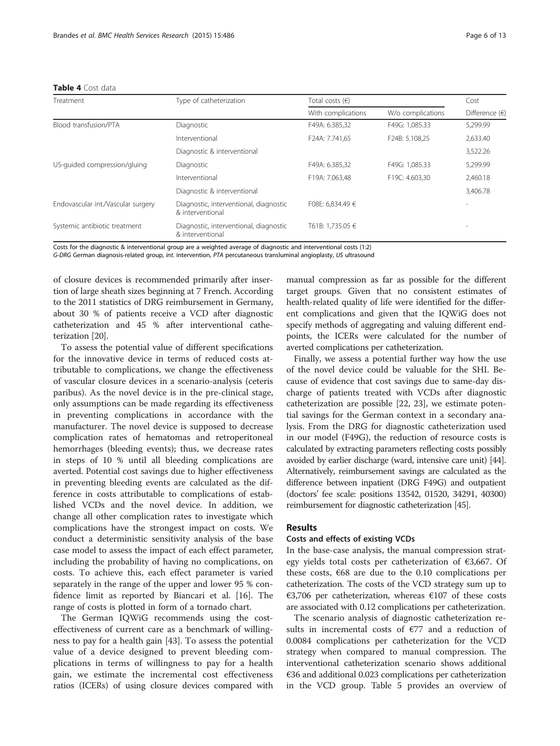<span id="page-5-0"></span>

| Treatment                          | Type of catheterization                                    | Total costs $(\epsilon)$ | Cost              |                          |  |
|------------------------------------|------------------------------------------------------------|--------------------------|-------------------|--------------------------|--|
|                                    |                                                            | With complications       | W/o complications | Difference $(\epsilon)$  |  |
| Blood transfusion/PTA              | Diagnostic                                                 | F49A: 6.385.32           | F49G: 1,085.33    | 5,299.99                 |  |
|                                    | Interventional                                             | F24A: 7.741,65           | F24B: 5.108,25    | 2,633.40                 |  |
|                                    | Diagnostic & interventional                                |                          |                   | 3,522.26                 |  |
| US-quided compression/gluing       | Diagnostic                                                 | F49A: 6.385.32           | F49G: 1,085.33    | 5,299.99                 |  |
|                                    | Interventional                                             | F19A: 7.063,48           | F19C: 4.603.30    | 2,460.18                 |  |
|                                    | Diagnostic & interventional                                |                          |                   | 3,406.78                 |  |
| Endovascular int./Vascular surgery | Diagnostic, interventional, diagnostic<br>& interventional | F08E: 6.834.49 €         |                   | $\overline{\phantom{a}}$ |  |
| Systemic antibiotic treatment      | Diagnostic, interventional, diagnostic<br>& interventional | T61B: 1,735.05 €         |                   |                          |  |

or the diagnostic & interventional group are a weighted average of diagnostic and interventional costs (1:2) G-DRG German diagnosis-related group, int. intervention, PTA percutaneous transluminal angioplasty, US ultrasound

of closure devices is recommended primarily after insertion of large sheath sizes beginning at 7 French. According to the 2011 statistics of DRG reimbursement in Germany, about 30 % of patients receive a VCD after diagnostic catheterization and 45 % after interventional catheterization [\[20](#page-11-0)].

To assess the potential value of different specifications for the innovative device in terms of reduced costs attributable to complications, we change the effectiveness of vascular closure devices in a scenario-analysis (ceteris paribus). As the novel device is in the pre-clinical stage, only assumptions can be made regarding its effectiveness in preventing complications in accordance with the manufacturer. The novel device is supposed to decrease complication rates of hematomas and retroperitoneal hemorrhages (bleeding events); thus, we decrease rates in steps of 10 % until all bleeding complications are averted. Potential cost savings due to higher effectiveness in preventing bleeding events are calculated as the difference in costs attributable to complications of established VCDs and the novel device. In addition, we change all other complication rates to investigate which complications have the strongest impact on costs. We conduct a deterministic sensitivity analysis of the base case model to assess the impact of each effect parameter, including the probability of having no complications, on costs. To achieve this, each effect parameter is varied separately in the range of the upper and lower 95 % confidence limit as reported by Biancari et al. [[16\]](#page-11-0). The range of costs is plotted in form of a tornado chart.

The German IQWiG recommends using the costeffectiveness of current care as a benchmark of willingness to pay for a health gain [[43\]](#page-11-0). To assess the potential value of a device designed to prevent bleeding complications in terms of willingness to pay for a health gain, we estimate the incremental cost effectiveness ratios (ICERs) of using closure devices compared with

manual compression as far as possible for the different target groups. Given that no consistent estimates of health-related quality of life were identified for the different complications and given that the IQWiG does not specify methods of aggregating and valuing different endpoints, the ICERs were calculated for the number of averted complications per catheterization.

Finally, we assess a potential further way how the use of the novel device could be valuable for the SHI. Because of evidence that cost savings due to same-day discharge of patients treated with VCDs after diagnostic catheterization are possible [[22](#page-11-0), [23\]](#page-11-0), we estimate potential savings for the German context in a secondary analysis. From the DRG for diagnostic catheterization used in our model (F49G), the reduction of resource costs is calculated by extracting parameters reflecting costs possibly avoided by earlier discharge (ward, intensive care unit) [\[44](#page-11-0)]. Alternatively, reimbursement savings are calculated as the difference between inpatient (DRG F49G) and outpatient (doctors' fee scale: positions 13542, 01520, 34291, 40300) reimbursement for diagnostic catheterization [\[45\]](#page-11-0).

## Results

#### Costs and effects of existing VCDs

In the base-case analysis, the manual compression strategy yields total costs per catheterization of €3,667. Of these costs,  $\epsilon$ 68 are due to the 0.10 complications per catheterization. The costs of the VCD strategy sum up to  $€3,706$  per catheterization, whereas  $€107$  of these costs are associated with 0.12 complications per catheterization.

The scenario analysis of diagnostic catheterization results in incremental costs of €77 and a reduction of 0.0084 complications per catheterization for the VCD strategy when compared to manual compression. The interventional catheterization scenario shows additional €36 and additional 0.023 complications per catheterization in the VCD group. Table [5](#page-6-0) provides an overview of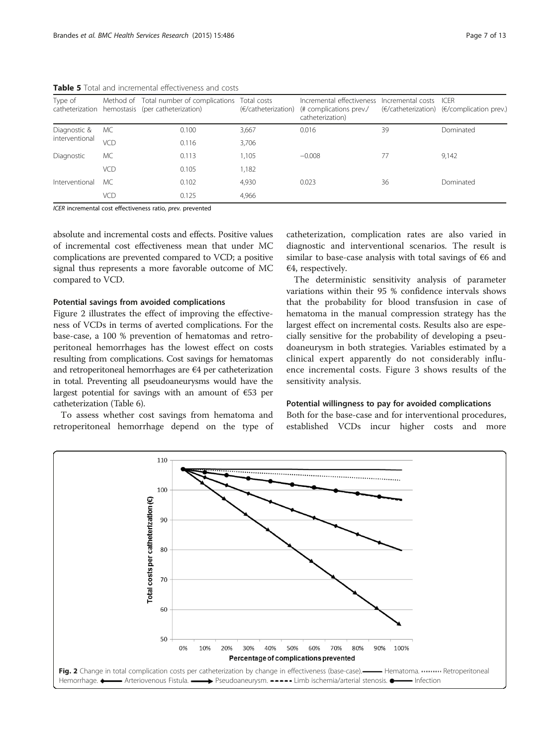| Type of        |           | Method of Total number of complications<br>catheterization hemostasis (per catheterization) | Total costs<br>(€/catheterization) | Incremental effectiveness Incremental costs<br>(# complications prev./<br>catheterization) |    | ICFR<br>(€/catheterization) (€/complication prev.) |
|----------------|-----------|---------------------------------------------------------------------------------------------|------------------------------------|--------------------------------------------------------------------------------------------|----|----------------------------------------------------|
| Diagnostic &   | <b>MC</b> | 0.100                                                                                       | 3,667                              | 0.016                                                                                      | 39 | Dominated                                          |
| interventional | VCD       | 0.116                                                                                       | 3,706                              |                                                                                            |    |                                                    |
| Diagnostic     | МC        | 0.113                                                                                       | 1.105                              | $-0.008$                                                                                   | 77 | 9,142                                              |
|                | VCD       | 0.105                                                                                       | 1.182                              |                                                                                            |    |                                                    |
| Interventional | MC.       | 0.102                                                                                       | 4,930                              | 0.023                                                                                      | 36 | Dominated                                          |
|                | VCD       | 0.125                                                                                       | 4,966                              |                                                                                            |    |                                                    |

<span id="page-6-0"></span>Table 5 Total and incremental effectiveness and costs

ICER incremental cost effectiveness ratio, prev. prevented

absolute and incremental costs and effects. Positive values of incremental cost effectiveness mean that under MC complications are prevented compared to VCD; a positive signal thus represents a more favorable outcome of MC compared to VCD.

#### Potential savings from avoided complications

Figure 2 illustrates the effect of improving the effectiveness of VCDs in terms of averted complications. For the base-case, a 100 % prevention of hematomas and retroperitoneal hemorrhages has the lowest effect on costs resulting from complications. Cost savings for hematomas and retroperitoneal hemorrhages are €4 per catheterization in total. Preventing all pseudoaneurysms would have the largest potential for savings with an amount of €53 per catheterization (Table [6](#page-7-0)).

To assess whether cost savings from hematoma and retroperitoneal hemorrhage depend on the type of catheterization, complication rates are also varied in diagnostic and interventional scenarios. The result is similar to base-case analysis with total savings of  $€6$  and €4, respectively.

The deterministic sensitivity analysis of parameter variations within their 95 % confidence intervals shows that the probability for blood transfusion in case of hematoma in the manual compression strategy has the largest effect on incremental costs. Results also are especially sensitive for the probability of developing a pseudoaneurysm in both strategies. Variables estimated by a clinical expert apparently do not considerably influence incremental costs. Figure [3](#page-8-0) shows results of the sensitivity analysis.

## Potential willingness to pay for avoided complications

Both for the base-case and for interventional procedures, established VCDs incur higher costs and more

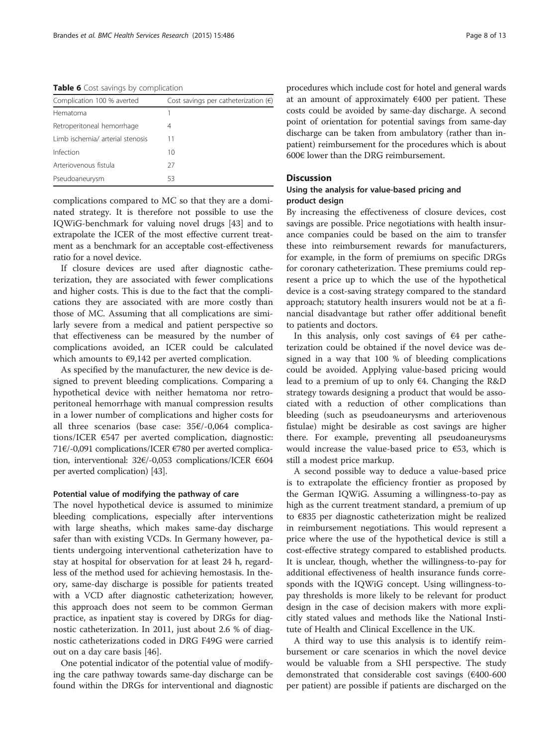<span id="page-7-0"></span>Table 6 Cost savings by complication

| Complication 100 % averted       | Cost savings per catheterization $(\epsilon)$ |
|----------------------------------|-----------------------------------------------|
| Hematoma                         |                                               |
| Retroperitoneal hemorrhage       | 4                                             |
| Limb ischemia/ arterial stenosis | 11                                            |
| Infection                        | 10                                            |
| Arteriovenous fistula            | 27                                            |
| Pseudoaneurysm                   | 53                                            |

complications compared to MC so that they are a dominated strategy. It is therefore not possible to use the IQWiG-benchmark for valuing novel drugs [\[43](#page-11-0)] and to extrapolate the ICER of the most effective current treatment as a benchmark for an acceptable cost-effectiveness ratio for a novel device.

If closure devices are used after diagnostic catheterization, they are associated with fewer complications and higher costs. This is due to the fact that the complications they are associated with are more costly than those of MC. Assuming that all complications are similarly severe from a medical and patient perspective so that effectiveness can be measured by the number of complications avoided, an ICER could be calculated which amounts to  $€9,142$  per averted complication.

As specified by the manufacturer, the new device is designed to prevent bleeding complications. Comparing a hypothetical device with neither hematoma nor retroperitoneal hemorrhage with manual compression results in a lower number of complications and higher costs for all three scenarios (base case: 35€/-0,064 complications/ICER €547 per averted complication, diagnostic: 71€/-0,091 complications/ICER €780 per averted complication, interventional: 32€/-0,053 complications/ICER €604 per averted complication) [\[43\]](#page-11-0).

#### Potential value of modifying the pathway of care

The novel hypothetical device is assumed to minimize bleeding complications, especially after interventions with large sheaths, which makes same-day discharge safer than with existing VCDs. In Germany however, patients undergoing interventional catheterization have to stay at hospital for observation for at least 24 h, regardless of the method used for achieving hemostasis. In theory, same-day discharge is possible for patients treated with a VCD after diagnostic catheterization; however, this approach does not seem to be common German practice, as inpatient stay is covered by DRGs for diagnostic catheterization. In 2011, just about 2.6 % of diagnostic catheterizations coded in DRG F49G were carried out on a day care basis [[46](#page-11-0)].

One potential indicator of the potential value of modifying the care pathway towards same-day discharge can be found within the DRGs for interventional and diagnostic

procedures which include cost for hotel and general wards at an amount of approximately  $€400$  per patient. These costs could be avoided by same-day discharge. A second point of orientation for potential savings from same-day discharge can be taken from ambulatory (rather than inpatient) reimbursement for the procedures which is about 600€ lower than the DRG reimbursement.

## **Discussion**

## Using the analysis for value-based pricing and product design

By increasing the effectiveness of closure devices, cost savings are possible. Price negotiations with health insurance companies could be based on the aim to transfer these into reimbursement rewards for manufacturers, for example, in the form of premiums on specific DRGs for coronary catheterization. These premiums could represent a price up to which the use of the hypothetical device is a cost-saving strategy compared to the standard approach; statutory health insurers would not be at a financial disadvantage but rather offer additional benefit to patients and doctors.

In this analysis, only cost savings of  $\epsilon$ 4 per catheterization could be obtained if the novel device was designed in a way that 100 % of bleeding complications could be avoided. Applying value-based pricing would lead to a premium of up to only €4. Changing the R&D strategy towards designing a product that would be associated with a reduction of other complications than bleeding (such as pseudoaneurysms and arteriovenous fistulae) might be desirable as cost savings are higher there. For example, preventing all pseudoaneurysms would increase the value-based price to  $€53$ , which is still a modest price markup.

A second possible way to deduce a value-based price is to extrapolate the efficiency frontier as proposed by the German IQWiG. Assuming a willingness-to-pay as high as the current treatment standard, a premium of up to €835 per diagnostic catheterization might be realized in reimbursement negotiations. This would represent a price where the use of the hypothetical device is still a cost-effective strategy compared to established products. It is unclear, though, whether the willingness-to-pay for additional effectiveness of health insurance funds corresponds with the IQWiG concept. Using willingness-topay thresholds is more likely to be relevant for product design in the case of decision makers with more explicitly stated values and methods like the National Institute of Health and Clinical Excellence in the UK.

A third way to use this analysis is to identify reimbursement or care scenarios in which the novel device would be valuable from a SHI perspective. The study demonstrated that considerable cost savings (€400-600 per patient) are possible if patients are discharged on the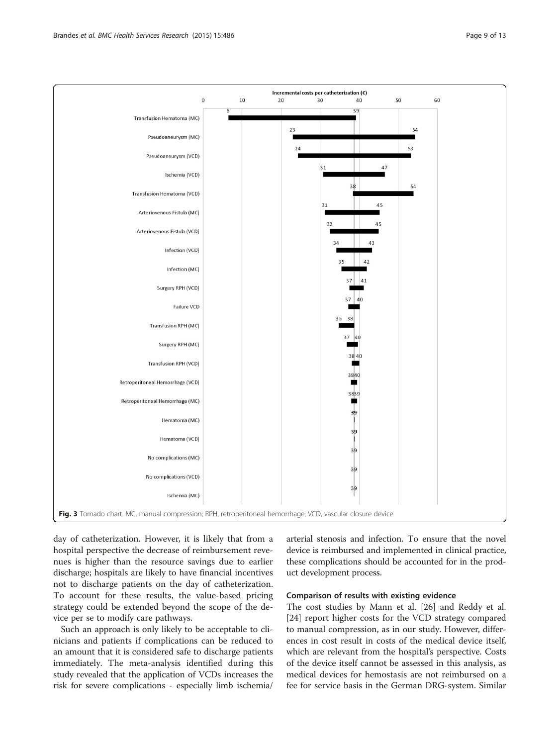<span id="page-8-0"></span>

day of catheterization. However, it is likely that from a hospital perspective the decrease of reimbursement revenues is higher than the resource savings due to earlier discharge; hospitals are likely to have financial incentives not to discharge patients on the day of catheterization. To account for these results, the value-based pricing strategy could be extended beyond the scope of the device per se to modify care pathways.

Such an approach is only likely to be acceptable to clinicians and patients if complications can be reduced to an amount that it is considered safe to discharge patients immediately. The meta-analysis identified during this study revealed that the application of VCDs increases the risk for severe complications - especially limb ischemia/ arterial stenosis and infection. To ensure that the novel device is reimbursed and implemented in clinical practice, these complications should be accounted for in the product development process.

#### Comparison of results with existing evidence

The cost studies by Mann et al. [[26\]](#page-11-0) and Reddy et al. [[24\]](#page-11-0) report higher costs for the VCD strategy compared to manual compression, as in our study. However, differences in cost result in costs of the medical device itself, which are relevant from the hospital's perspective. Costs of the device itself cannot be assessed in this analysis, as medical devices for hemostasis are not reimbursed on a fee for service basis in the German DRG-system. Similar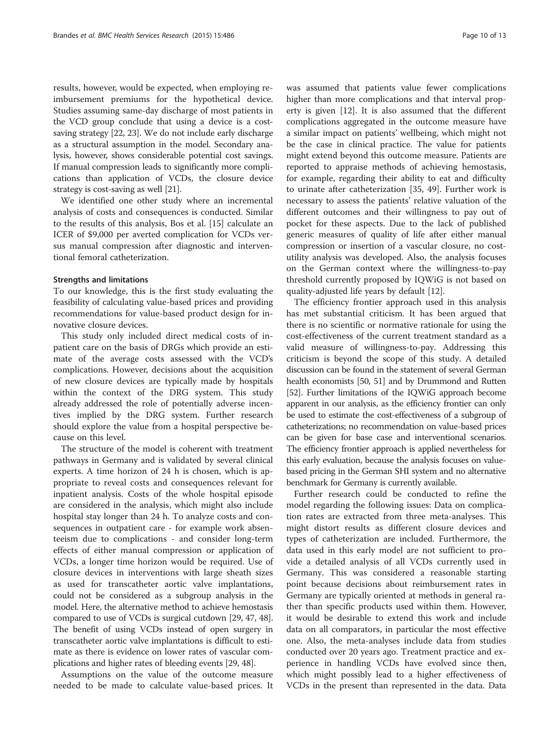results, however, would be expected, when employing reimbursement premiums for the hypothetical device. Studies assuming same-day discharge of most patients in the VCD group conclude that using a device is a costsaving strategy [\[22, 23](#page-11-0)]. We do not include early discharge as a structural assumption in the model. Secondary analysis, however, shows considerable potential cost savings. If manual compression leads to significantly more complications than application of VCDs, the closure device strategy is cost-saving as well [\[21\]](#page-11-0).

We identified one other study where an incremental analysis of costs and consequences is conducted. Similar to the results of this analysis, Bos et al. [[15](#page-11-0)] calculate an ICER of \$9,000 per averted complication for VCDs versus manual compression after diagnostic and interventional femoral catheterization.

#### Strengths and limitations

To our knowledge, this is the first study evaluating the feasibility of calculating value-based prices and providing recommendations for value-based product design for innovative closure devices.

This study only included direct medical costs of inpatient care on the basis of DRGs which provide an estimate of the average costs assessed with the VCD's complications. However, decisions about the acquisition of new closure devices are typically made by hospitals within the context of the DRG system. This study already addressed the role of potentially adverse incentives implied by the DRG system. Further research should explore the value from a hospital perspective because on this level.

The structure of the model is coherent with treatment pathways in Germany and is validated by several clinical experts. A time horizon of 24 h is chosen, which is appropriate to reveal costs and consequences relevant for inpatient analysis. Costs of the whole hospital episode are considered in the analysis, which might also include hospital stay longer than 24 h. To analyze costs and consequences in outpatient care - for example work absenteeism due to complications - and consider long-term effects of either manual compression or application of VCDs, a longer time horizon would be required. Use of closure devices in interventions with large sheath sizes as used for transcatheter aortic valve implantations, could not be considered as a subgroup analysis in the model. Here, the alternative method to achieve hemostasis compared to use of VCDs is surgical cutdown [[29](#page-11-0), [47, 48](#page-11-0)]. The benefit of using VCDs instead of open surgery in transcatheter aortic valve implantations is difficult to estimate as there is evidence on lower rates of vascular complications and higher rates of bleeding events [[29](#page-11-0), [48\]](#page-11-0).

Assumptions on the value of the outcome measure needed to be made to calculate value-based prices. It

was assumed that patients value fewer complications higher than more complications and that interval property is given [[12\]](#page-11-0). It is also assumed that the different complications aggregated in the outcome measure have a similar impact on patients' wellbeing, which might not be the case in clinical practice. The value for patients might extend beyond this outcome measure. Patients are reported to appraise methods of achieving hemostasis, for example, regarding their ability to eat and difficulty to urinate after catheterization [\[35, 49\]](#page-11-0). Further work is necessary to assess the patients' relative valuation of the different outcomes and their willingness to pay out of pocket for these aspects. Due to the lack of published generic measures of quality of life after either manual compression or insertion of a vascular closure, no costutility analysis was developed. Also, the analysis focuses on the German context where the willingness-to-pay threshold currently proposed by IQWiG is not based on quality-adjusted life years by default [\[12](#page-11-0)].

The efficiency frontier approach used in this analysis has met substantial criticism. It has been argued that there is no scientific or normative rationale for using the cost-effectiveness of the current treatment standard as a valid measure of willingness-to-pay. Addressing this criticism is beyond the scope of this study. A detailed discussion can be found in the statement of several German health economists [[50](#page-11-0), [51](#page-12-0)] and by Drummond and Rutten [[52](#page-12-0)]. Further limitations of the IQWiG approach become apparent in our analysis, as the efficiency frontier can only be used to estimate the cost-effectiveness of a subgroup of catheterizations; no recommendation on value-based prices can be given for base case and interventional scenarios. The efficiency frontier approach is applied nevertheless for this early evaluation, because the analysis focuses on valuebased pricing in the German SHI system and no alternative benchmark for Germany is currently available.

Further research could be conducted to refine the model regarding the following issues: Data on complication rates are extracted from three meta-analyses. This might distort results as different closure devices and types of catheterization are included. Furthermore, the data used in this early model are not sufficient to provide a detailed analysis of all VCDs currently used in Germany. This was considered a reasonable starting point because decisions about reimbursement rates in Germany are typically oriented at methods in general rather than specific products used within them. However, it would be desirable to extend this work and include data on all comparators, in particular the most effective one. Also, the meta-analyses include data from studies conducted over 20 years ago. Treatment practice and experience in handling VCDs have evolved since then, which might possibly lead to a higher effectiveness of VCDs in the present than represented in the data. Data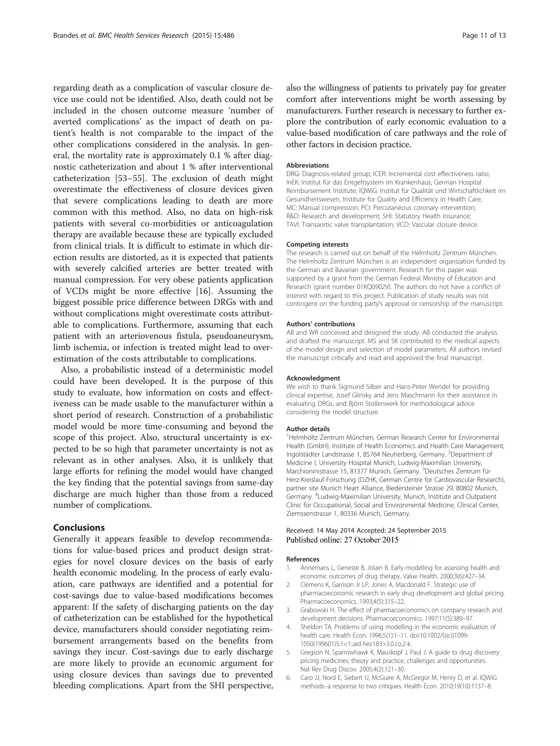<span id="page-10-0"></span>regarding death as a complication of vascular closure device use could not be identified. Also, death could not be included in the chosen outcome measure 'number of averted complications' as the impact of death on patient's health is not comparable to the impact of the other complications considered in the analysis. In general, the mortality rate is approximately 0.1 % after diagnostic catheterization and about 1 % after interventional catheterization [\[53](#page-12-0)–[55](#page-12-0)]. The exclusion of death might overestimate the effectiveness of closure devices given that severe complications leading to death are more common with this method. Also, no data on high-risk patients with several co-morbidities or anticoagulation therapy are available because these are typically excluded from clinical trials. It is difficult to estimate in which direction results are distorted, as it is expected that patients with severely calcified arteries are better treated with manual compression. For very obese patients application of VCDs might be more effective [\[16](#page-11-0)]. Assuming the biggest possible price difference between DRGs with and without complications might overestimate costs attributable to complications. Furthermore, assuming that each patient with an arteriovenous fistula, pseudoaneurysm, limb ischemia, or infection is treated might lead to overestimation of the costs attributable to complications.

Also, a probabilistic instead of a deterministic model could have been developed. It is the purpose of this study to evaluate, how information on costs and effectiveness can be made usable to the manufacturer within a short period of research. Construction of a probabilistic model would be more time-consuming and beyond the scope of this project. Also, structural uncertainty is expected to be so high that parameter uncertainty is not as relevant as in other analyses. Also, it is unlikely that large efforts for refining the model would have changed the key finding that the potential savings from same-day discharge are much higher than those from a reduced number of complications.

## Conclusions

Generally it appears feasible to develop recommendations for value-based prices and product design strategies for novel closure devices on the basis of early health economic modeling. In the process of early evaluation, care pathways are identified and a potential for cost-savings due to value-based modifications becomes apparent: If the safety of discharging patients on the day of catheterization can be established for the hypothetical device, manufacturers should consider negotiating reimbursement arrangements based on the benefits from savings they incur. Cost-savings due to early discharge are more likely to provide an economic argument for using closure devices than savings due to prevented bleeding complications. Apart from the SHI perspective,

also the willingness of patients to privately pay for greater comfort after interventions might be worth assessing by manufacturers. Further research is necessary to further explore the contribution of early economic evaluation to a value-based modification of care pathways and the role of other factors in decision practice.

#### Abbreviations

DRG: Diagnosis-related group; ICER: Incremental cost effectiveness ratio; InEK: Institut für das Entgeltsystem im Krankenhaus, German Hospital Reimbursement Institute; IQWiG: Institut für Qualität und Wirtschaftlichkeit im Gesundheitswesen, Institute for Quality and Efficiency in Health Care; MC: Manual compression; PCI: Percutaneous coronary intervention; R&D: Research and development; SHI: Statutory Health Insurance; TAVI: Transaortic valve transplantation; VCD: Vascular closure device.

#### Competing interests

The research is carried out on behalf of the Helmholtz Zentrum München. The Helmholtz Zentrum München is an independent organization funded by the German and Bavarian government. Research for this paper was supported by a grant from the German Federal Ministry of Education and Research (grant number 01KQ0902V). The authors do not have a conflict of interest with regard to this project. Publication of study results was not contingent on the funding party's approval or censorship of the manuscript.

#### Authors' contributions

AB and WR conceived and designed the study. AB conducted the analysis and drafted the manuscript. MS and SK contributed to the medical aspects of the model design and selection of model parameters. All authors revised the manuscript critically and read and approved the final manuscript.

#### **Acknowledament**

We wish to thank Sigmund Silber and Hans-Peter Wendel for providing clinical expertise, Josef Glinsky and Jens Maschmann for their assistance in evaluating DRGs, and Björn Stollenwerk for methodological advice considering the model structure.

#### Author details

<sup>1</sup>Helmholtz Zentrum München, German Research Center for Environmental Health (GmbH), Institute of Health Economics and Health Care Management, Ingolstädter Landstrasse 1, 85764 Neuherberg, Germany. <sup>2</sup>Department of Medicine I, University Hospital Munich, Ludwig-Maximilian University, Marchioninistrasse 15, 81377 Munich, Germany. <sup>3</sup>Deutsches Zentrum für Herz-Kreislauf-Forschung (DZHK, German Centre for Cardiovascular Research), partner site Munich Heart Alliance, Biedersteiner Strasse 29, 80802 Munich, Germany. <sup>4</sup> Ludwig-Maximilian University, Munich, Institute and Outpatient Clinic for Occupational, Social and Environmental Medicine, Clinical Center, Ziemssenstrasse 1, 80336 Munich, Germany.

#### Received: 14 May 2014 Accepted: 24 September 2015 Published online: 27 October 2015

#### References

- 1. Annemans L, Geneste B, Jolain B. Early modelling for assessing health and economic outcomes of drug therapy. Value Health. 2000;3(6):427–34.
- 2. Clemens K, Garrison Jr LP, Jones A, Macdonald F. Strategic use of pharmacoeconomic research in early drug development and global pricing. Pharmacoeconomics. 1993;4(5):315–22.
- 3. Grabowski H. The effect of pharmacoeconomics on company research and development decisions. Pharmacoeconomics. 1997;11(5):389–97.
- 4. Sheldon TA. Problems of using modelling in the economic evaluation of health care. Health Econ. 1996;5(1):1–11. doi:[10.1002/\(sici\)1099-](http://dx.doi.org/10.1002/(sici)1099-1050(199601)5:1%3C1::aid-hec183%3E3.0.co;2-k) [1050\(199601\)5:1<1::aid-hec183>3.0.co;2-k.](http://dx.doi.org/10.1002/(sici)1099-1050(199601)5:1%3C1::aid-hec183%3E3.0.co;2-k)
- 5. Gregson N, Sparrowhawk K, Mauskopf J, Paul J. A guide to drug discovery: pricing medicines: theory and practice, challenges and opportunities. Nat Rev Drug Discov. 2005;4(2):121–30.
- 6. Caro JJ, Nord E, Siebert U, McGuire A, McGregor M, Henry D, et al. IQWiG methods–a response to two critiques. Health Econ. 2010;19(10):1137–8.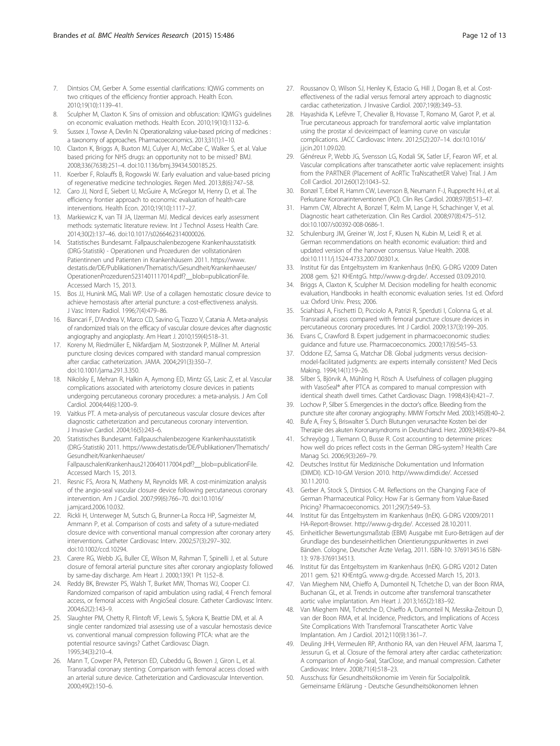- <span id="page-11-0"></span>7. Dintsios CM, Gerber A. Some essential clarifications: IQWiG comments on two critiques of the efficiency frontier approach. Health Econ. 2010;19(10):1139–41.
- 8. Sculpher M, Claxton K. Sins of omission and obfuscation: IQWIG's guidelines on economic evaluation methods. Health Econ. 2010;19(10):1132–6.
- 9. Sussex J, Towse A, Devlin N. Operationalizing value-based pricing of medicines : a taxonomy of approaches. Pharmacoeconomics. 2013;31(1):1–10.
- 10. Claxton K, Briggs A, Buxton MJ, Culyer AJ, McCabe C, Walker S, et al. Value based pricing for NHS drugs: an opportunity not to be missed? BMJ. 2008;336(7638):251–4. doi[:10.1136/bmj.39434.500185.25](http://dx.doi.org/10.1136/bmj.39434.500185.25).
- 11. Koerber F, Rolauffs B, Rogowski W. Early evaluation and value-based pricing of regenerative medicine technologies. Regen Med. 2013;8(6):747–58.
- 12. Caro JJ, Nord E, Siebert U, McGuire A, McGregor M, Henry D, et al. The efficiency frontier approach to economic evaluation of health-care interventions. Health Econ. 2010;19(10):1117–27.
- 13. Markiewicz K, van Til JA, IJzerman MJ. Medical devices early assessment methods: systematic literature review. Int J Technol Assess Health Care. 2014;30(2):137–46. doi:[10.1017/s0266462314000026](http://dx.doi.org/10.1017/s0266462314000026).
- 14. Statistisches Bundesamt. Fallpauschalenbezogene Krankenhausstatisitk (DRG-Statistik) - Operationen und Prozeduren der vollstationären Patientinnen und Patienten in Krankenhäusern 2011. [https://www.](https://www.destatis.de/DE/Publikationen/Thematisch/Gesundheit/Krankenhaeuser/OperationenProzeduren5231401117014.pdf?__blob=publicationFile) [destatis.de/DE/Publikationen/Thematisch/Gesundheit/Krankenhaeuser/](https://www.destatis.de/DE/Publikationen/Thematisch/Gesundheit/Krankenhaeuser/OperationenProzeduren5231401117014.pdf?__blob=publicationFile) [OperationenProzeduren5231401117014.pdf?\\_\\_blob=publicationFile.](https://www.destatis.de/DE/Publikationen/Thematisch/Gesundheit/Krankenhaeuser/OperationenProzeduren5231401117014.pdf?__blob=publicationFile) Accessed March 15, 2013.
- 15. Bos JJ, Hunink MG, Mali WP. Use of a collagen hemostatic closure device to achieve hemostasis after arterial puncture: a cost-effectiveness analysis. J Vasc Interv Radiol. 1996;7(4):479–86.
- 16. Biancari F, D'Andrea V, Marco CD, Savino G, Tiozzo V, Catania A. Meta-analysis of randomized trials on the efficacy of vascular closure devices after diagnostic angiography and angioplasty. Am Heart J. 2010;159(4):518–31.
- 17. Koreny M, Riedmüller E, Nikfardjam M, Siostrzonek P, Müllner M. Arterial puncture closing devices compared with standard manual compression after cardiac catheterization. JAMA. 2004;291(3):350–7. doi[:10.1001/jama.291.3.350](http://dx.doi.org/10.1001/jama.291.3.350).
- 18. Nikolsky E, Mehran R, Halkin A, Aymong ED, Mintz GS, Lasic Z, et al. Vascular complications associated with arteriotomy closure devices in patients undergoing percutaneous coronary procedures: a meta-analysis. J Am Coll Cardiol. 2004;44(6):1200–9.
- 19. Vaitkus PT. A meta-analysis of percutaneous vascular closure devices after diagnostic catheterization and percutaneous coronary intervention. J Invasive Cardiol. 2004;16(5):243–6.
- 20. Statistisches Bundesamt. Fallpauschalenbezogene Krankenhausstatistik (DRG-Statistik) 2011. [https://www.destatis.de/DE/Publikationen/Thematisch/](https://www.destatis.de/DE/Publikationen/Thematisch/Gesundheit/Krankenhaeuser/FallpauschalenKrankenhaus2120640117004.pdf?__blob=publicationFile) [Gesundheit/Krankenhaeuser/](https://www.destatis.de/DE/Publikationen/Thematisch/Gesundheit/Krankenhaeuser/FallpauschalenKrankenhaus2120640117004.pdf?__blob=publicationFile) [FallpauschalenKrankenhaus2120640117004.pdf?\\_\\_blob=publicationFile.](https://www.destatis.de/DE/Publikationen/Thematisch/Gesundheit/Krankenhaeuser/FallpauschalenKrankenhaus2120640117004.pdf?__blob=publicationFile) Accessed March 15, 2013.
- 21. Resnic FS, Arora N, Matheny M, Reynolds MR. A cost-minimization analysis of the angio-seal vascular closure device following percutaneous coronary intervention. Am J Cardiol. 2007;99(6):766–70. doi:[10.1016/](http://dx.doi.org/10.1016/j.amjcard.2006.10.032) [j.amjcard.2006.10.032](http://dx.doi.org/10.1016/j.amjcard.2006.10.032).
- 22. Rickli H, Unterweger M, Sutsch G, Brunner-La Rocca HP, Sagmeister M, Ammann P, et al. Comparison of costs and safety of a suture-mediated closure device with conventional manual compression after coronary artery interventions. Catheter Cardiovasc Interv. 2002;57(3):297–302. doi[:10.1002/ccd.10294](http://dx.doi.org/10.1002/ccd.10294).
- 23. Carere RG, Webb JG, Buller CE, Wilson M, Rahman T, Spinelli J, et al. Suture closure of femoral arterial puncture sites after coronary angioplasty followed by same-day discharge. Am Heart J. 2000;139(1 Pt 1):52–8.
- 24. Reddy BK, Brewster PS, Walsh T, Burket MW, Thomas WJ, Cooper CJ. Randomized comparison of rapid ambulation using radial, 4 French femoral access, or femoral access with AngioSeal closure. Catheter Cardiovasc Interv. 2004;62(2):143–9.
- 25. Slaughter PM, Chetty R, Flintoft VF, Lewis S, Sykora K, Beattie DM, et al. A single center randomized trial assessing use of a vascular hemostasis device vs. conventional manual compression following PTCA: what are the potential resource savings? Cathet Cardiovasc Diagn. 1995;34(3):210–4.
- 26. Mann T, Cowper PA, Peterson ED, Cubeddu G, Bowen J, Giron L, et al. Transradial coronary stenting: Comparison with femoral access closed with an arterial suture device. Catheterization and Cardiovascular Intervention. 2000;49(2):150–6.
- 27. Roussanov O, Wilson SJ, Henley K, Estacio G, Hill J, Dogan B, et al. Costeffectiveness of the radial versus femoral artery approach to diagnostic cardiac catheterization. J Invasive Cardiol. 2007;19(8):349–53.
- 28. Hayashida K, Lefèvre T, Chevalier B, Hovasse T, Romano M, Garot P, et al. True percutaneous approach for transfemoral aortic valve implantation using the prostar xl deviceimpact of learning curve on vascular complications. JACC Cardiovasc Interv. 2012;5(2):207–14. doi[:10.1016/](http://dx.doi.org/10.1016/j.jcin.2011.09.020) i.jcin.2011.09.020.
- 29. Généreux P, Webb JG, Svensson LG, Kodali SK, Satler LF, Fearon WF, et al. Vascular complications after transcatheter aortic valve replacement: insights from the PARTNER (Placement of AoRTic TraNscathetER Valve) Trial. J Am Coll Cardiol. 2012;60(12):1043–52.
- 30. Bonzel T, Erbel R, Hamm CW, Levenson B, Neumann F-J, Rupprecht H-J, et al. Perkutane Koronarinterventionen (PCI). Clin Res Cardiol. 2008;97(8):513–47.
- 31. Hamm CW, Albrecht A, Bonzel T, Kelm M, Lange H, Schachinger V, et al. Diagnostic heart catheterization. Clin Res Cardiol. 2008;97(8):475–512. doi[:10.1007/s00392-008-0686-1](http://dx.doi.org/10.1007/s00392-008-0686-1).
- 32. Schulenburg JM, Greiner W, Jost F, Klusen N, Kubin M, Leidl R, et al. German recommendations on health economic evaluation: third and updated version of the hanover consensus. Value Health. 2008. doi[:10.1111/j.1524-4733.2007.00301.x](http://dx.doi.org/10.1111/j.1524-4733.2007.00301.x).
- 33. Institut für das Entgeltsystem im Krankenhaus (InEK). G-DRG V2009 Daten 2008 gem. §21 KHEntgG.<http://www.g-drg.de/>. Accessed 03.09.2010.
- 34. Briggs A, Claxton K, Sculpher M. Decision modelling for health economic evaluation, Handbooks in health economic evaluation series. 1st ed. Oxford u.a: Oxford Univ. Press; 2006.
- 35. Sciahbasi A, Fischetti D, Picciolo A, Patrizi R, Sperduti I, Colonna G, et al. Transradial access compared with femoral puncture closure devices in percutaneous coronary procedures. Int J Cardiol. 2009;137(3):199–205.
- 36. Evans C, Crawford B. Expert judgement in pharmacoeconomic studies: guidance and future use. Pharmacoeconomics. 2000;17(6):545–53.
- 37. Oddone EZ, Samsa G, Matchar DB. Global judgments versus decisionmodel-facilitated judgments: are experts internally consistent? Med Decis Making. 1994;14(1):19–26.
- 38. Silber S, Björvik A, Mühling H, Rösch A. Usefulness of collagen plugging with VasoSeal® after PTCA as compared to manual compression with identical sheath dwell times. Cathet Cardiovasc Diagn. 1998;43(4):421–7.
- 39. Lochow P, Silber S. Emergencies in the doctor's office. Bleeding from the puncture site after coronary angiography. MMW Fortschr Med. 2003;145(8):40–2.
- 40. Bufe A, Frey S, Briswalter S. Durch Blutungen verursachte Kosten bei der Therapie des akuten Koronarsyndroms in Deutschland. Herz. 2009;34(6):479–84.
- 41. Schreyögg J, Tiemann O, Busse R. Cost accounting to determine prices: how well do prices reflect costs in the German DRG-system? Health Care Manag Sci. 2006;9(3):269–79.
- 42. Deutsches Institut für Medizinische Dokumentation und Information (DIMDI). ICD-10-GM Version 2010.<http://www.dimdi.de/>. Accessed 30.11.2010.
- 43. Gerber A, Stock S, Dintsios C-M. Reflections on the Changing Face of German Pharmaceutical Policy: How Far is Germany from Value-Based Pricing? Pharmacoeconomics. 2011;29(7):549–53.
- 44. Institut für das Entgeltsystem im Krankenhaus (InEK). G-DRG V2009/2011 HA-Report-Browser.<http://www.g-drg.de/>. Accessed 28.10.2011.
- 45. Einheitlicher Bewertungsmaßstab (EBM) Ausgabe mit Euro-Beträgen auf der Grundlage des bundeseinheitlichen Orientierungspunktwertes in zwei Bänden. Cologne, Deutscher Ärzte Verlag, 2011. ISBN-10: 3769134516 ISBN-13: 978-3769134513.
- 46. Institut für das Entgeltsystem im Krankenhaus (InEK). G-DRG V2012 Daten 2011 gem. §21 KHEntgG. [www.g-drg.de.](http://www.g-drg.de) Accessed March 15, 2013.
- 47. Van Mieghem NM, Chieffo A, Dumonteil N, Tchetche D, van der Boon RMA, Buchanan GL, et al. Trends in outcome after transfemoral transcatheter aortic valve implantation. Am Heart J. 2013;165(2):183–92.
- 48. Van Mieghem NM, Tchetche D, Chieffo A, Dumonteil N, Messika-Zeitoun D, van der Boon RMA, et al. Incidence, Predictors, and Implications of Access Site Complications With Transfemoral Transcatheter Aortic Valve Implantation. Am J Cardiol. 2012;110(9):1361–7.
- 49. Deuling JHH, Vermeulen RP, Anthonio RA, van den Heuvel AFM, Jaarsma T, Jessurun G, et al. Closure of the femoral artery after cardiac catheterization: A comparison of Angio-Seal, StarClose, and manual compression. Catheter Cardiovasc Interv. 2008;71(4):518–23.
- 50. Ausschuss für Gesundheitsökonomie im Verein für Socialpolitik. Gemeinsame Erklärung - Deutsche Gesundheitsökonomen lehnen